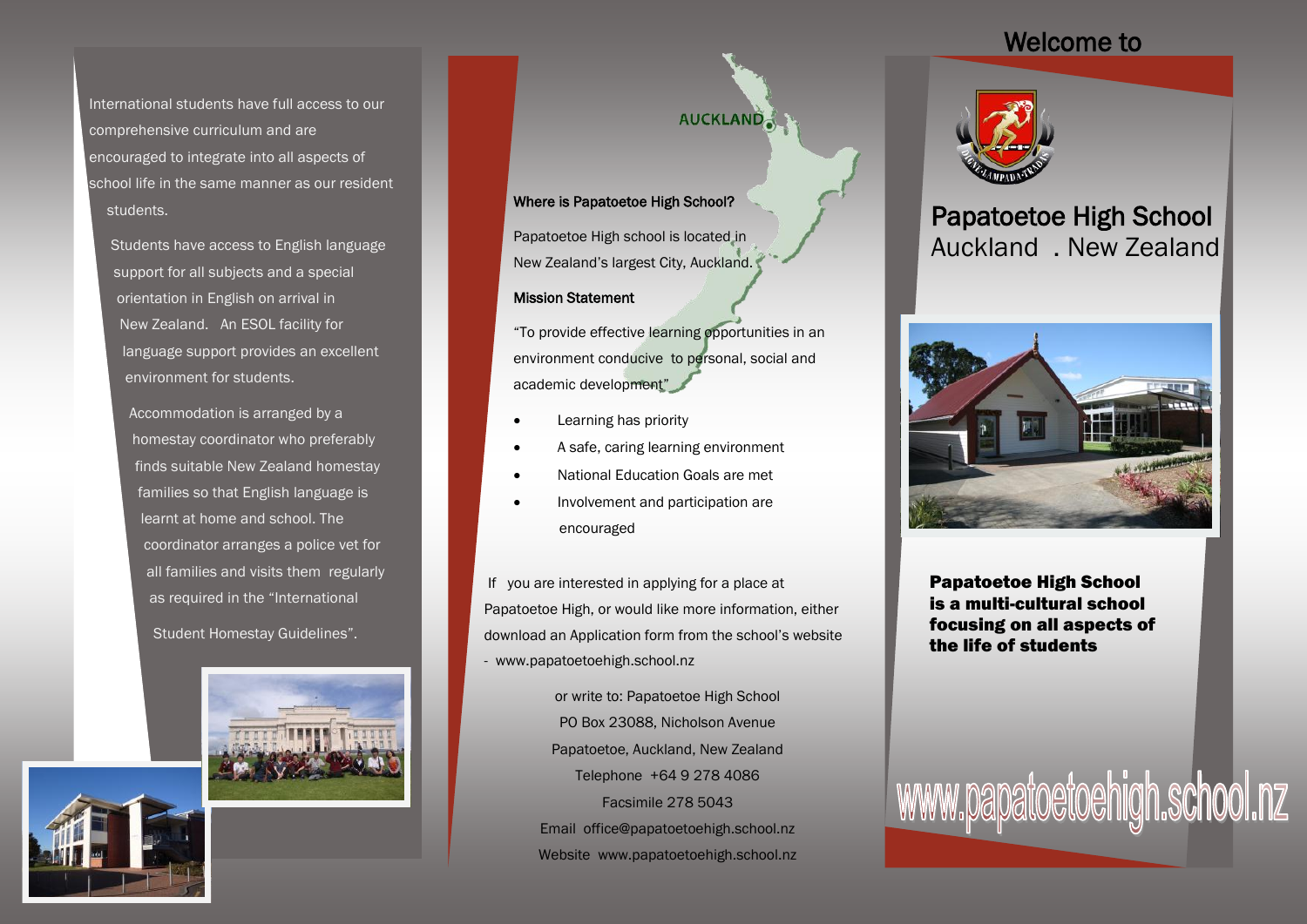### Welcome to

International students have full access to our comprehensive curriculum and are encouraged to integrate into all aspects of school life in the same manner as our resident students.

Students have access to English language support for all subjects and a special orientation in English on arrival in New Zealand. An ESOL facility for language support provides an excellent environment for students.

Accommodation is arranged by a homestay coordinator who preferably finds suitable New Zealand homestay families so that English language is learnt at home and school. The coordinator arranges a police vet for all families and visits them regularly as required in the "International

Student Homestay Guidelines".



## **AUCKLAND**

#### Where is Papatoetoe High School?

Papatoetoe High school is located in New Zealand's largest City, Auckland.

#### Mission Statement

"To provide effective learning opportunities in an environment conducive to personal, social and academic development"

- Learning has priority
- A safe, caring learning environment
- National Education Goals are met
- Involvement and participation are encouraged

If you are interested in applying for a place at Papatoetoe High, or would like more information, either download an Application form from the school's website - www.papatoetoehigh.school.nz

> or write to: Papatoetoe High School PO Box 23088, Nicholson Avenue Papatoetoe, Auckland, New Zealand Telephone +64 9 278 4086 Facsimile 278 5043 Email office@papatoetoehigh.school.nz Website www.papatoetoehigh.school.nz



## Papatoetoe High School Auckland . New Zealand



Papatoetoe High School is a multi-cultural school focusing on all aspects of the life of students

www.papatoetoehigh.school.nz